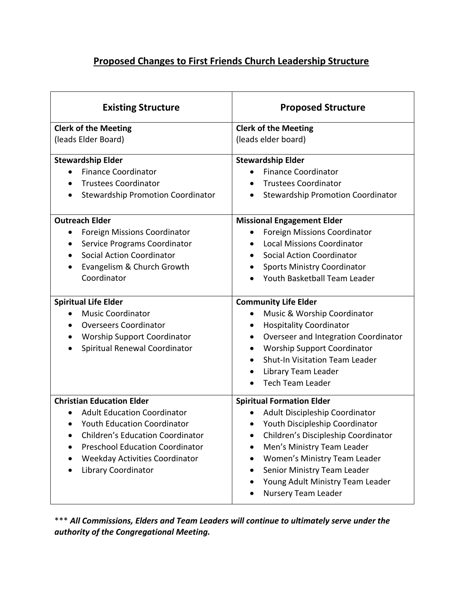## **Proposed Changes to First Friends Church Leadership Structure**

| <b>Existing Structure</b>                                                                                                                                                                                                                                                                                                                                                                                                                                                                                                   | <b>Proposed Structure</b>                                                                                                                                                                                                                                                                                                                                                                                                                                                                                                                                                                                                                                                                                                |
|-----------------------------------------------------------------------------------------------------------------------------------------------------------------------------------------------------------------------------------------------------------------------------------------------------------------------------------------------------------------------------------------------------------------------------------------------------------------------------------------------------------------------------|--------------------------------------------------------------------------------------------------------------------------------------------------------------------------------------------------------------------------------------------------------------------------------------------------------------------------------------------------------------------------------------------------------------------------------------------------------------------------------------------------------------------------------------------------------------------------------------------------------------------------------------------------------------------------------------------------------------------------|
| <b>Clerk of the Meeting</b><br>(leads Elder Board)                                                                                                                                                                                                                                                                                                                                                                                                                                                                          | <b>Clerk of the Meeting</b><br>(leads elder board)                                                                                                                                                                                                                                                                                                                                                                                                                                                                                                                                                                                                                                                                       |
| <b>Stewardship Elder</b><br><b>Finance Coordinator</b><br><b>Trustees Coordinator</b><br>$\bullet$<br><b>Stewardship Promotion Coordinator</b><br><b>Outreach Elder</b><br><b>Foreign Missions Coordinator</b><br>Service Programs Coordinator<br>$\bullet$<br><b>Social Action Coordinator</b><br>$\bullet$<br>Evangelism & Church Growth<br>Coordinator<br><b>Spiritual Life Elder</b><br><b>Music Coordinator</b><br><b>Overseers Coordinator</b><br><b>Worship Support Coordinator</b><br>Spiritual Renewal Coordinator | <b>Stewardship Elder</b><br><b>Finance Coordinator</b><br><b>Trustees Coordinator</b><br>$\bullet$<br><b>Stewardship Promotion Coordinator</b><br><b>Missional Engagement Elder</b><br><b>Foreign Missions Coordinator</b><br><b>Local Missions Coordinator</b><br>$\bullet$<br><b>Social Action Coordinator</b><br><b>Sports Ministry Coordinator</b><br>Youth Basketball Team Leader<br><b>Community Life Elder</b><br>Music & Worship Coordinator<br>٠<br><b>Hospitality Coordinator</b><br>$\bullet$<br>Overseer and Integration Coordinator<br>$\bullet$<br><b>Worship Support Coordinator</b><br>$\bullet$<br><b>Shut-In Visitation Team Leader</b><br>Library Team Leader<br>$\bullet$<br><b>Tech Team Leader</b> |
| <b>Christian Education Elder</b><br><b>Adult Education Coordinator</b><br><b>Youth Education Coordinator</b><br>$\bullet$<br><b>Children's Education Coordinator</b><br><b>Preschool Education Coordinator</b><br><b>Weekday Activities Coordinator</b><br>Library Coordinator                                                                                                                                                                                                                                              | <b>Spiritual Formation Elder</b><br>Adult Discipleship Coordinator<br>Youth Discipleship Coordinator<br>$\bullet$<br>Children's Discipleship Coordinator<br>Men's Ministry Team Leader<br>Women's Ministry Team Leader<br>Senior Ministry Team Leader<br>Young Adult Ministry Team Leader<br>Nursery Team Leader                                                                                                                                                                                                                                                                                                                                                                                                         |

\*\*\* *All Commissions, Elders and Team Leaders will continue to ultimately serve under the authority of the Congregational Meeting.*